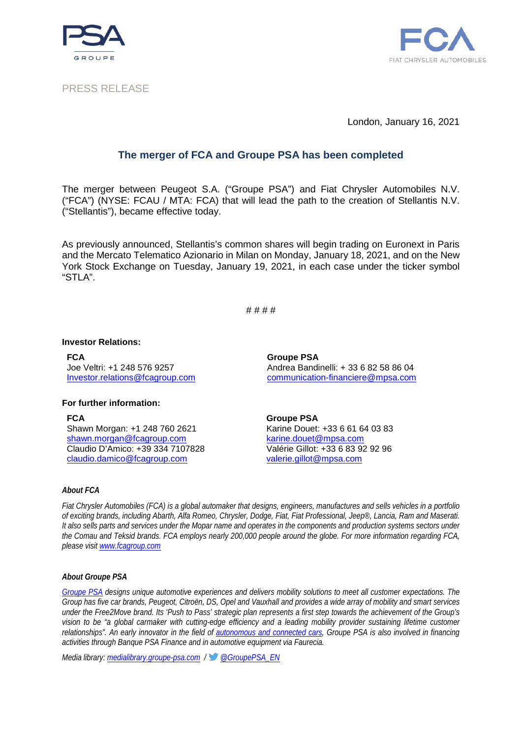

# PRESS RELEASE



London, January 16, 2021

# **The merger of FCA and Groupe PSA has been completed**

The merger between Peugeot S.A. ("Groupe PSA") and Fiat Chrysler Automobiles N.V. ("FCA") (NYSE: FCAU / MTA: FCA) that will lead the path to the creation of Stellantis N.V. ("Stellantis"), became effective today.

As previously announced, Stellantis's common shares will begin trading on Euronext in Paris and the Mercato Telematico Azionario in Milan on Monday, January 18, 2021, and on the New York Stock Exchange on Tuesday, January 19, 2021, in each case under the ticker symbol "STLA".

# # # #

#### **Investor Relations:**

**FCA Groupe PSA** Joe Veltri: +1 248 576 9257 [Investor.relations@fcagroup.com](mailto:Investor.relations@fcagroup.com)

## **For further information:**

**FCA Groupe PSA** Shawn Morgan: +1 248 760 2621 [shawn.morgan@fcagroup.com](mailto:shawn.morgan@fcagroup.com) Claudio D'Amico: +39 334 7107828 claudio.damico@fcagroup.com

Andrea Bandinelli: + 33 6 82 58 86 04 [communication-financiere@mpsa.com](mailto:communication-financiere@mpsa.com)

Karine Douet: +33 6 61 64 03 83 [karine.douet@mpsa.com](mailto:karine.douet@mpsa.com) Valérie Gillot: +33 6 83 92 92 96 [valerie.gillot@mpsa.com](mailto:valerie.gillot@mpsa.com)

## *About FCA*

*Fiat Chrysler Automobiles (FCA) is a global automaker that designs, engineers, manufactures and sells vehicles in a portfolio of exciting brands, including Abarth, Alfa Romeo, Chrysler, Dodge, Fiat, Fiat Professional, Jeep®, Lancia, Ram and Maserati. It also sells parts and services under the Mopar name and operates in the components and production systems sectors under the Comau and Teksid brands. FCA employs nearly 200,000 people around the globe. For more information regarding FCA, please visi[t www.fcagroup.com](https://www.fcagroup.com/en-US/Pages/home.aspx)*

## *About Groupe PSA*

*[Groupe PSA](https://www.groupe-psa.com/fr) designs unique automotive experiences and delivers mobility solutions to meet all customer expectations. The Group has five car brands, Peugeot, Citroën, DS, Opel and Vauxhall and provides a wide array of mobility and smart services under the Free2Move brand. Its 'Push to Pass' strategic plan represents a first step towards the achievement of the Group's*  vision to be "a global carmaker with cutting-edge efficiency and a leading mobility provider sustaining lifetime customer *relationships". An early innovator in the field of [autonomous and connected cars,](https://www.groupe-psa.com/en/story/en-route-vers-la-voiture-autonome/) Groupe PSA is also involved in financing activities through Banque PSA Finance and in automotive equipment via Faurecia.*

*Media library[: medialibrary.groupe-psa.com](http://medialibrary.groupe-psa.com/) / [@GroupePSA\\_EN](https://twitter.com/GroupePSA_EN)*